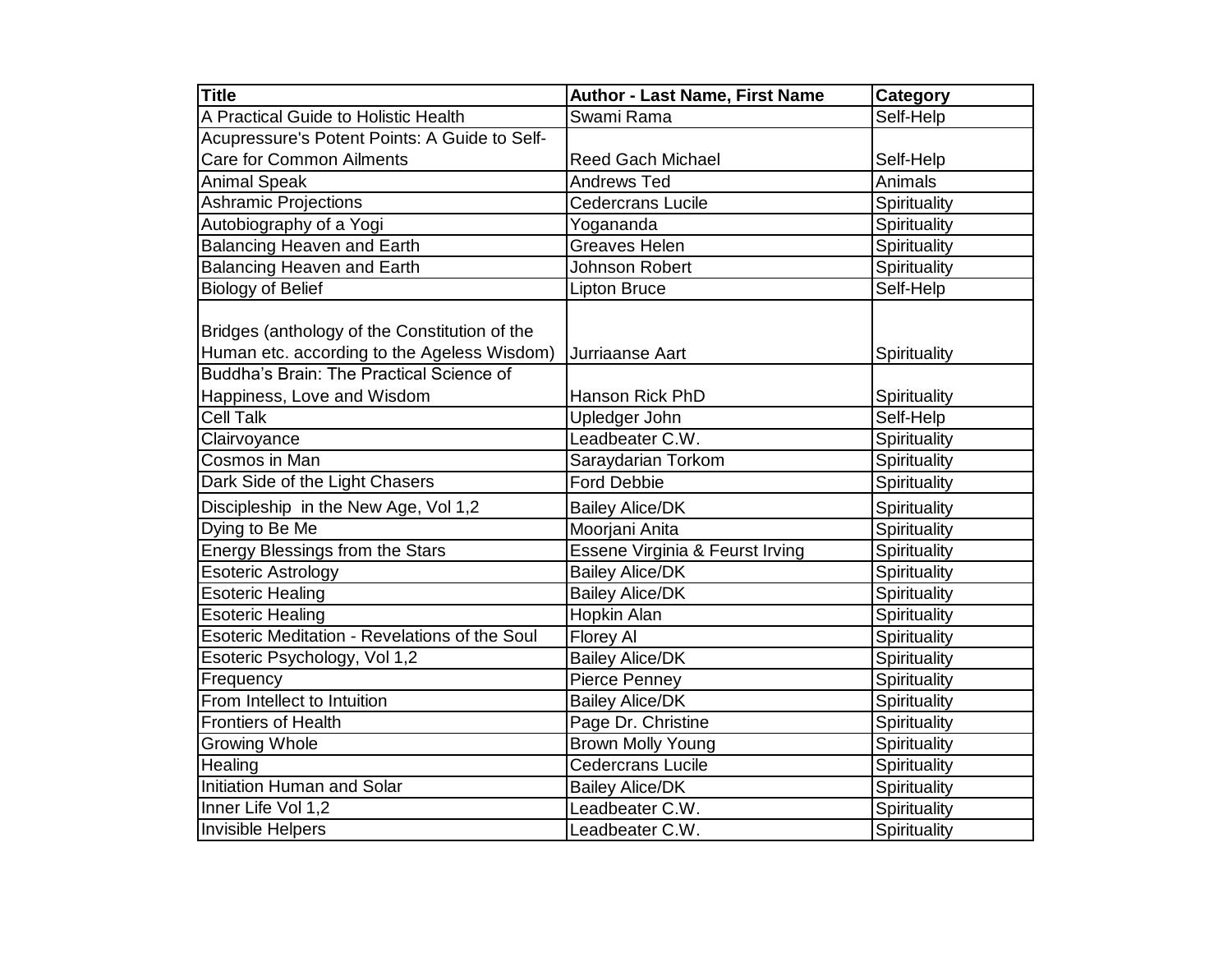| <b>Title</b>                                  | <b>Author - Last Name, First Name</b> | Category     |
|-----------------------------------------------|---------------------------------------|--------------|
| A Practical Guide to Holistic Health          | Swami Rama                            | Self-Help    |
| Acupressure's Potent Points: A Guide to Self- |                                       |              |
| <b>Care for Common Ailments</b>               | <b>Reed Gach Michael</b>              | Self-Help    |
| <b>Animal Speak</b>                           | <b>Andrews Ted</b>                    | Animals      |
| <b>Ashramic Projections</b>                   | <b>Cedercrans Lucile</b>              | Spirituality |
| Autobiography of a Yogi                       | Yogananda                             | Spirituality |
| <b>Balancing Heaven and Earth</b>             | Greaves Helen                         | Spirituality |
| <b>Balancing Heaven and Earth</b>             | Johnson Robert                        | Spirituality |
| <b>Biology of Belief</b>                      | Lipton Bruce                          | Self-Help    |
| Bridges (anthology of the Constitution of the |                                       |              |
| Human etc. according to the Ageless Wisdom)   | Jurriaanse Aart                       | Spirituality |
| Buddha's Brain: The Practical Science of      |                                       |              |
| Happiness, Love and Wisdom                    | Hanson Rick PhD                       | Spirituality |
| <b>Cell Talk</b>                              | Upledger John                         | Self-Help    |
| Clairvoyance                                  | Leadbeater C.W.                       | Spirituality |
| Cosmos in Man                                 | Saraydarian Torkom                    | Spirituality |
| Dark Side of the Light Chasers                | <b>Ford Debbie</b>                    | Spirituality |
| Discipleship in the New Age, Vol 1,2          | <b>Bailey Alice/DK</b>                | Spirituality |
| Dying to Be Me                                | Moorjani Anita                        | Spirituality |
| <b>Energy Blessings from the Stars</b>        | Essene Virginia & Feurst Irving       | Spirituality |
| <b>Esoteric Astrology</b>                     | <b>Bailey Alice/DK</b>                | Spirituality |
| <b>Esoteric Healing</b>                       | <b>Bailey Alice/DK</b>                | Spirituality |
| <b>Esoteric Healing</b>                       | Hopkin Alan                           | Spirituality |
| Esoteric Meditation - Revelations of the Soul | Florey Al                             | Spirituality |
| Esoteric Psychology, Vol 1,2                  | <b>Bailey Alice/DK</b>                | Spirituality |
| Frequency                                     | Pierce Penney                         | Spirituality |
| From Intellect to Intuition                   | <b>Bailey Alice/DK</b>                | Spirituality |
| <b>Frontiers of Health</b>                    | Page Dr. Christine                    | Spirituality |
| <b>Growing Whole</b>                          | <b>Brown Molly Young</b>              | Spirituality |
| Healing                                       | Cedercrans Lucile                     | Spirituality |
| <b>Initiation Human and Solar</b>             | <b>Bailey Alice/DK</b>                | Spirituality |
| Inner Life Vol 1,2                            | Leadbeater C.W.                       | Spirituality |
| <b>Invisible Helpers</b>                      | Leadbeater C.W.                       | Spirituality |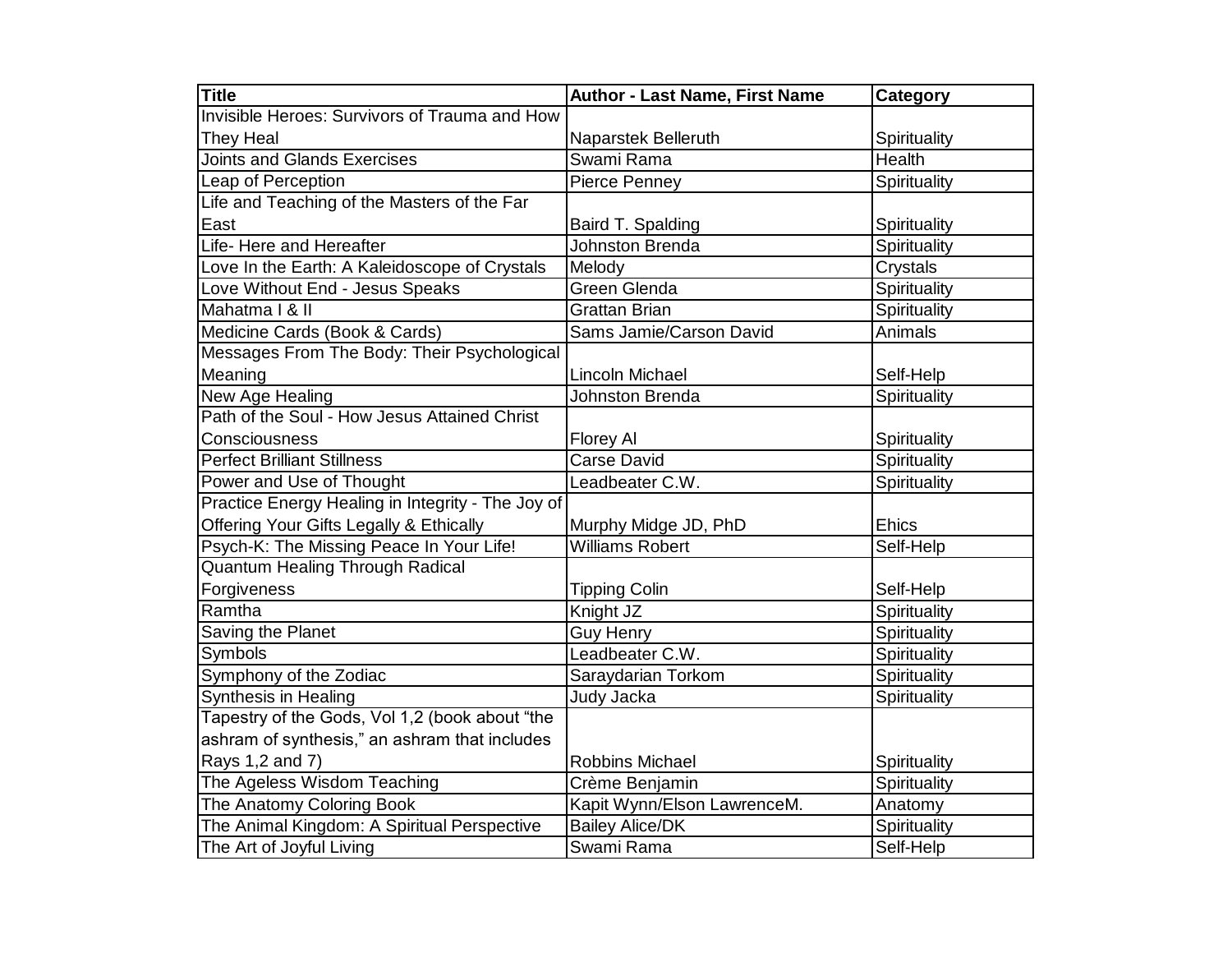| <b>Title</b>                                         | <b>Author - Last Name, First Name</b> | Category     |
|------------------------------------------------------|---------------------------------------|--------------|
| <b>Invisible Heroes: Survivors of Trauma and How</b> |                                       |              |
| <b>They Heal</b>                                     | Naparstek Belleruth                   | Spirituality |
| <b>Joints and Glands Exercises</b>                   | Swami Rama                            | Health       |
| Leap of Perception                                   | Pierce Penney                         | Spirituality |
| Life and Teaching of the Masters of the Far          |                                       |              |
| East                                                 | Baird T. Spalding                     | Spirituality |
| Life- Here and Hereafter                             | Johnston Brenda                       | Spirituality |
| Love In the Earth: A Kaleidoscope of Crystals        | Melody                                | Crystals     |
| Love Without End - Jesus Speaks                      | Green Glenda                          | Spirituality |
| Mahatma   & II                                       | <b>Grattan Brian</b>                  | Spirituality |
| Medicine Cards (Book & Cards)                        | Sams Jamie/Carson David               | Animals      |
| Messages From The Body: Their Psychological          |                                       |              |
| Meaning                                              | Lincoln Michael                       | Self-Help    |
| New Age Healing                                      | <b>Johnston Brenda</b>                | Spirituality |
| Path of the Soul - How Jesus Attained Christ         |                                       |              |
| Consciousness                                        | Florey Al                             | Spirituality |
| <b>Perfect Brilliant Stillness</b>                   | Carse David                           | Spirituality |
| Power and Use of Thought                             | Leadbeater C.W.                       | Spirituality |
| Practice Energy Healing in Integrity - The Joy of    |                                       |              |
| Offering Your Gifts Legally & Ethically              | Murphy Midge JD, PhD                  | Ehics        |
| Psych-K: The Missing Peace In Your Life!             | <b>Williams Robert</b>                | Self-Help    |
| <b>Quantum Healing Through Radical</b>               |                                       |              |
| Forgiveness                                          | <b>Tipping Colin</b>                  | Self-Help    |
| Ramtha                                               | Knight JZ                             | Spirituality |
| Saving the Planet                                    | <b>Guy Henry</b>                      | Spirituality |
| Symbols                                              | Leadbeater C.W.                       | Spirituality |
| Symphony of the Zodiac                               | Saraydarian Torkom                    | Spirituality |
| Synthesis in Healing                                 | Judy Jacka                            | Spirituality |
| Tapestry of the Gods, Vol 1,2 (book about "the       |                                       |              |
| ashram of synthesis," an ashram that includes        |                                       |              |
| Rays 1,2 and 7)                                      | <b>Robbins Michael</b>                | Spirituality |
| The Ageless Wisdom Teaching                          | Crème Benjamin                        | Spirituality |
| The Anatomy Coloring Book                            | Kapit Wynn/Elson LawrenceM.           | Anatomy      |
| The Animal Kingdom: A Spiritual Perspective          | <b>Bailey Alice/DK</b>                | Spirituality |
| The Art of Joyful Living                             | Swami Rama                            | Self-Help    |